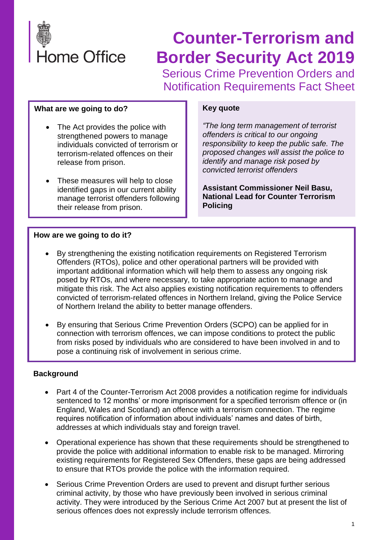

# **Counter-Terrorism and Border Security Act 2019**

Serious Crime Prevention Orders and Notification Requirements Fact Sheet

## **What are we going to do?**

- The Act provides the police with strengthened powers to manage individuals convicted of terrorism or terrorism-related offences on their release from prison.
- These measures will help to close identified gaps in our current ability manage terrorist offenders following their release from prison.

#### **Key quote**

*"The long term management of terrorist offenders is critical to our ongoing responsibility to keep the public safe. The proposed changes will assist the police to identify and manage risk posed by convicted terrorist offenders*

**Assistant Commissioner Neil Basu, National Lead for Counter Terrorism Policing**

## **How are we going to do it?**

- By strengthening the existing notification requirements on Registered Terrorism Offenders (RTOs), police and other operational partners will be provided with important additional information which will help them to assess any ongoing risk posed by RTOs, and where necessary, to take appropriate action to manage and mitigate this risk. The Act also applies existing notification requirements to offenders convicted of terrorism-related offences in Northern Ireland, giving the Police Service of Northern Ireland the ability to better manage offenders.
- By ensuring that Serious Crime Prevention Orders (SCPO) can be applied for in connection with terrorism offences, we can impose conditions to protect the public from risks posed by individuals who are considered to have been involved in and to pose a continuing risk of involvement in serious crime.

## **Background**

- Part 4 of the Counter-Terrorism Act 2008 provides a notification regime for individuals sentenced to 12 months' or more imprisonment for a specified terrorism offence or (in England, Wales and Scotland) an offence with a terrorism connection. The regime requires notification of information about individuals' names and dates of birth, addresses at which individuals stay and foreign travel.
- Operational experience has shown that these requirements should be strengthened to provide the police with additional information to enable risk to be managed. Mirroring existing requirements for Registered Sex Offenders, these gaps are being addressed to ensure that RTOs provide the police with the information required.
- Serious Crime Prevention Orders are used to prevent and disrupt further serious criminal activity, by those who have previously been involved in serious criminal activity. They were introduced by the Serious Crime Act 2007 but at present the list of serious offences does not expressly include terrorism offences.